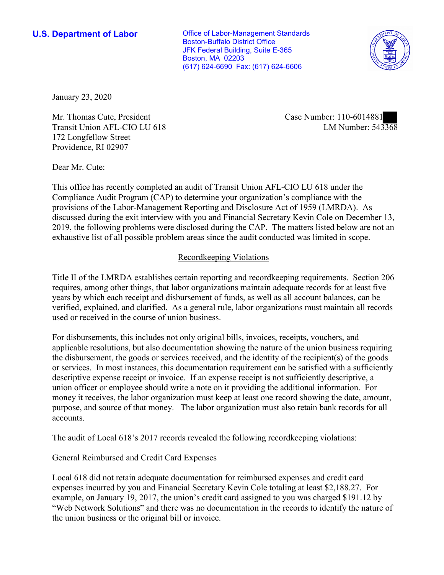**U.S. Department of Labor Conservative Conservative Conservative Conservative U.S.** Department of Labor Boston-Buffalo District Office JFK Federal Building, Suite E-365 Boston, MA 02203 (617) 624-6690 Fax: (617) 624-6606



January 23, 2020

Mr. Thomas Cute, President Transit Union AFL-CIO LU 618 172 Longfellow Street Providence, RI 02907

Case Number: 110-6014881 LM Number: 543368

Dear Mr. Cute:

This office has recently completed an audit of Transit Union AFL-CIO LU 618 under the Compliance Audit Program (CAP) to determine your organization's compliance with the provisions of the Labor-Management Reporting and Disclosure Act of 1959 (LMRDA). As discussed during the exit interview with you and Financial Secretary Kevin Cole on December 13, 2019, the following problems were disclosed during the CAP. The matters listed below are not an exhaustive list of all possible problem areas since the audit conducted was limited in scope.

## Recordkeeping Violations

Title II of the LMRDA establishes certain reporting and recordkeeping requirements. Section 206 requires, among other things, that labor organizations maintain adequate records for at least five years by which each receipt and disbursement of funds, as well as all account balances, can be verified, explained, and clarified. As a general rule, labor organizations must maintain all records used or received in the course of union business.

For disbursements, this includes not only original bills, invoices, receipts, vouchers, and applicable resolutions, but also documentation showing the nature of the union business requiring the disbursement, the goods or services received, and the identity of the recipient(s) of the goods or services. In most instances, this documentation requirement can be satisfied with a sufficiently descriptive expense receipt or invoice. If an expense receipt is not sufficiently descriptive, a union officer or employee should write a note on it providing the additional information. For money it receives, the labor organization must keep at least one record showing the date, amount, purpose, and source of that money. The labor organization must also retain bank records for all accounts.

The audit of Local 618's 2017 records revealed the following recordkeeping violations:

## General Reimbursed and Credit Card Expenses

Local 618 did not retain adequate documentation for reimbursed expenses and credit card expenses incurred by you and Financial Secretary Kevin Cole totaling at least \$2,188.27. For example, on January 19, 2017, the union's credit card assigned to you was charged \$191.12 by "Web Network Solutions" and there was no documentation in the records to identify the nature of the union business or the original bill or invoice.